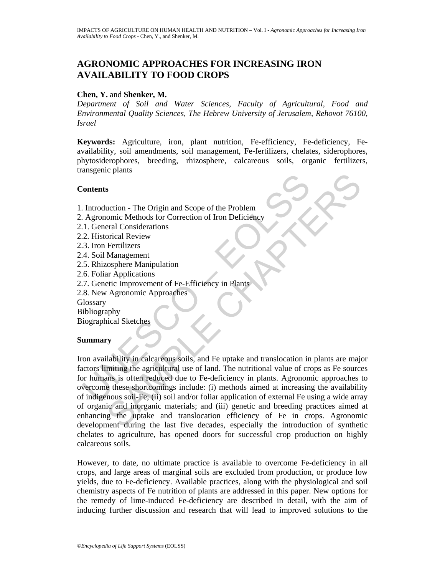# **AGRONOMIC APPROACHES FOR INCREASING IRON AVAILABILITY TO FOOD CROPS**

### **Chen, Y.** and **Shenker, M.**

*Department of Soil and Water Sciences, Faculty of Agricultural, Food and Environmental Quality Sciences, The Hebrew University of Jerusalem, Rehovot 76100, Israel* 

**Keywords:** Agriculture, iron, plant nutrition, Fe-efficiency, Fe-deficiency, Feavailability, soil amendments, soil management, Fe-fertilizers, chelates, siderophores, phytosiderophores, breeding, rhizosphere, calcareous soils, organic fertilizers, transgenic plants

#### **Contents**

- 1. Introduction The Origin and Scope of the Problem
- 2. Agronomic Methods for Correction of Iron Deficiency
- 2.1. General Considerations
- 2.2. Historical Review
- 2.3. Iron Fertilizers
- 2.4. Soil Management
- 2.5. Rhizosphere Manipulation
- 2.6. Foliar Applications
- 2.7. Genetic Improvement of Fe-Efficiency in Plants
- 2.8. New Agronomic Approaches

**Glossary** 

Bibliography

Biographical Sketches

# **Summary**

Contents<br>
1. Introduction - The Origin and Scope of the Problem<br>
1. Agronomic Methods for Correction of Iron Deficiency<br>
1. General Considerations<br>
2. Historical Review<br>
4. Soil Management<br>
4. Soil Management<br>
5. Rhizosphe S<br>
S<br>
S<br>
auction - The Origin and Scope of the Problem<br>
omic Methods for Correction of Iron Deficiency<br>
orical Review<br>
Tertilizers<br>
Management<br>
Management<br>
Tertilizers<br>
Chapter Deproaches<br>
Chapter Management<br>
Chapter Manag Iron availability in calcareous soils, and Fe uptake and translocation in plants are major factors limiting the agricultural use of land. The nutritional value of crops as Fe sources for humans is often reduced due to Fe-deficiency in plants. Agronomic approaches to overcome these shortcomings include: (i) methods aimed at increasing the availability of indigenous soil-Fe; (ii) soil and/or foliar application of external Fe using a wide array of organic and inorganic materials; and (iii) genetic and breeding practices aimed at enhancing the uptake and translocation efficiency of Fe in crops. Agronomic development during the last five decades, especially the introduction of synthetic chelates to agriculture, has opened doors for successful crop production on highly calcareous soils.

However, to date, no ultimate practice is available to overcome Fe-deficiency in all crops, and large areas of marginal soils are excluded from production, or produce low yields, due to Fe-deficiency. Available practices, along with the physiological and soil chemistry aspects of Fe nutrition of plants are addressed in this paper. New options for the remedy of lime-induced Fe-deficiency are described in detail, with the aim of inducing further discussion and research that will lead to improved solutions to the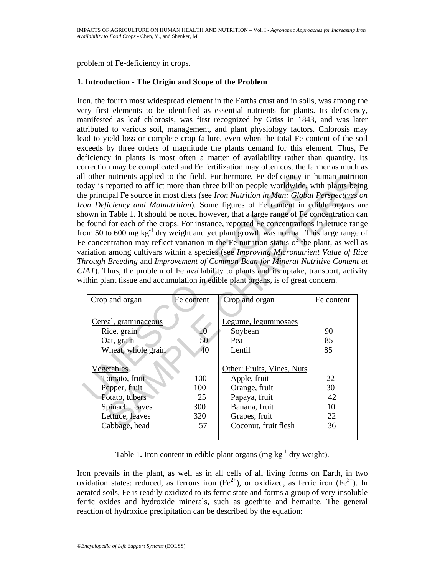problem of Fe-deficiency in crops.

#### **1. Introduction - The Origin and Scope of the Problem**

Il other nutrients applied to the field. Furthermore, Fe deficiency in<br>day is reported to afflict more than three billin people worldwide,<br>experiment most diest foree limitation in Man: Globa<br>con Deficiency and Malnutriti Iron, the fourth most widespread element in the Earths crust and in soils, was among the very first elements to be identified as essential nutrients for plants. Its deficiency, manifested as leaf chlorosis, was first recognized by Griss in 1843, and was later attributed to various soil, management, and plant physiology factors. Chlorosis may lead to yield loss or complete crop failure, even when the total Fe content of the soil exceeds by three orders of magnitude the plants demand for this element. Thus, Fe deficiency in plants is most often a matter of availability rather than quantity. Its correction may be complicated and Fe fertilization may often cost the farmer as much as all other nutrients applied to the field. Furthermore, Fe deficiency in human nutrition today is reported to afflict more than three billion people worldwide, with plants being the principal Fe source in most diets (see *Iron Nutrition in Man: Global Perspectives on Iron Deficiency and Malnutrition*). Some figures of Fe content in edible organs are shown in Table 1. It should be noted however, that a large range of Fe concentration can be found for each of the crops. For instance, reported Fe concentrations in lettuce range from 50 to 600 mg  $kg^{-1}$  dry weight and yet plant growth was normal. This large range of Fe concentration may reflect variation in the Fe nutrition status of the plant, as well as variation among cultivars within a species (see *Improving Micronutrient Value of Rice Through Breeding* and *Improvement of Common Bean for Mineral Nutritive Content at CIAT*). Thus, the problem of Fe availability to plants and its uptake, transport, activity within plant tissue and accumulation in edible plant organs, is of great concern.

| I other nutrients applied to the field. Furthermore, Fe deficiency in human nutrition<br>day is reported to afflict more than three billion people worldwide, with plants bein<br>e principal Fe source in most diets (see Iron Nutrition in Man: Global Perspectives of<br>on Deficiency and Malnutrition). Some figures of Fe content in edible organs an<br>lown in Table 1. It should be noted however, that a large range of Fe concentration ca<br>found for each of the crops. For instance, reported Fe concentrations in lettuce range<br>om 50 to 600 mg kg <sup>-1</sup> dry weight and yet plant growth was normal. This large range o<br>e concentration may reflect variation in the Fe nutrition status of the plant, as well a<br>triation among cultivars within a species (see Improving Micronutrient Value of Ric<br>hrough Breeding and Improvement of Common Bean for Mineral Nutritive Content of<br>IAT). Thus, the problem of Fe availability to plants and its uptake, transport, activity<br>ithin plant tissue and accumulation in edible plant organs, is of great concern. |                                                                         |                |                                                  |                |
|----------------------------------------------------------------------------------------------------------------------------------------------------------------------------------------------------------------------------------------------------------------------------------------------------------------------------------------------------------------------------------------------------------------------------------------------------------------------------------------------------------------------------------------------------------------------------------------------------------------------------------------------------------------------------------------------------------------------------------------------------------------------------------------------------------------------------------------------------------------------------------------------------------------------------------------------------------------------------------------------------------------------------------------------------------------------------------------------------------|-------------------------------------------------------------------------|----------------|--------------------------------------------------|----------------|
|                                                                                                                                                                                                                                                                                                                                                                                                                                                                                                                                                                                                                                                                                                                                                                                                                                                                                                                                                                                                                                                                                                          | Crop and organ                                                          | Fe content     | Crop and organ                                   | Fe content     |
|                                                                                                                                                                                                                                                                                                                                                                                                                                                                                                                                                                                                                                                                                                                                                                                                                                                                                                                                                                                                                                                                                                          | Cereal, graminaceous<br>Rice, grain<br>Oat, grain<br>Wheat, whole grain | 10<br>50<br>40 | Legume, leguminosaes<br>Soybean<br>Pea<br>Lentil | 90<br>85<br>85 |
|                                                                                                                                                                                                                                                                                                                                                                                                                                                                                                                                                                                                                                                                                                                                                                                                                                                                                                                                                                                                                                                                                                          | <b>Vegetables</b><br>Tomato, fruit                                      | 100            | Other: Fruits, Vines, Nuts<br>Apple, fruit       | 22             |
|                                                                                                                                                                                                                                                                                                                                                                                                                                                                                                                                                                                                                                                                                                                                                                                                                                                                                                                                                                                                                                                                                                          | Pepper, fruit                                                           | 100            | Orange, fruit                                    | 30             |
|                                                                                                                                                                                                                                                                                                                                                                                                                                                                                                                                                                                                                                                                                                                                                                                                                                                                                                                                                                                                                                                                                                          | Potato, tubers                                                          | 25             | Papaya, fruit                                    | 42             |
|                                                                                                                                                                                                                                                                                                                                                                                                                                                                                                                                                                                                                                                                                                                                                                                                                                                                                                                                                                                                                                                                                                          | Spinach, leaves                                                         | 300            | Banana, fruit                                    | 10             |
|                                                                                                                                                                                                                                                                                                                                                                                                                                                                                                                                                                                                                                                                                                                                                                                                                                                                                                                                                                                                                                                                                                          | Lettuce, leaves                                                         | 320            | Grapes, fruit                                    | 22             |
|                                                                                                                                                                                                                                                                                                                                                                                                                                                                                                                                                                                                                                                                                                                                                                                                                                                                                                                                                                                                                                                                                                          | Cabbage, head                                                           | 57             | Coconut, fruit flesh                             | 36             |
|                                                                                                                                                                                                                                                                                                                                                                                                                                                                                                                                                                                                                                                                                                                                                                                                                                                                                                                                                                                                                                                                                                          |                                                                         |                |                                                  |                |

Table 1. Iron content in edible plant organs (mg  $kg^{-1}$  dry weight).

Iron prevails in the plant, as well as in all cells of all living forms on Earth, in two oxidation states: reduced, as ferrous iron  $(Fe^{2+})$ , or oxidized, as ferric iron  $(Fe^{3+})$ . In aerated soils, Fe is readily oxidized to its ferric state and forms a group of very insoluble ferric oxides and hydroxide minerals, such as goethite and hematite. The general reaction of hydroxide precipitation can be described by the equation: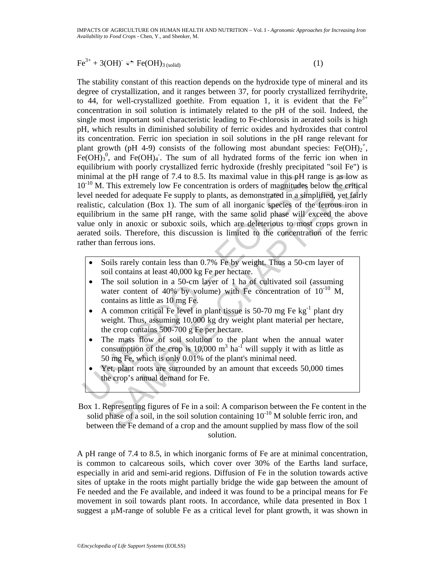# $\text{Fe}^{3+} + 3(\text{OH}) \rightleftharpoons \text{Fe}(\text{OH})_{3 \text{(solid)}}$  (1)

inimal at the pH range of 7.4 to 8.5. Its maximal value in this pH ra<br>  $0^{-10}$  M. This extremely low Fe concentration is orders of magnitudes level needed for adequate Fe supply to plants, as demonstrated in a simulative, at the pH range of 7.4 to 8.5. Its maximal value in this pH range is as low at<br>This extremely low Fe concentration is orders of magnitudes below the erftice<br>ded for adequate Fe supply to plants, as demonstrated in a simpl The stability constant of this reaction depends on the hydroxide type of mineral and its degree of crystallization, and it ranges between 37, for poorly crystallized ferrihydrite, to 44, for well-crystallized goethite. From equation 1, it is evident that the  $Fe^{3+}$ concentration in soil solution is intimately related to the pH of the soil. Indeed, the single most important soil characteristic leading to Fe-chlorosis in aerated soils is high pH, which results in diminished solubility of ferric oxides and hydroxides that control its concentration. Ferric ion speciation in soil solutions in the pH range relevant for plant growth (pH 4-9) consists of the following most abundant species: Fe(OH)<sub>2</sub><sup>+</sup>,  $Fe(OH)<sub>3</sub>$ <sup>0</sup>, and  $Fe(OH)<sub>4</sub>$ . The sum of all hydrated forms of the ferric ion when in equilibrium with poorly crystallized ferric hydroxide (freshly precipitated "soil Fe") is minimal at the pH range of 7.4 to 8.5. Its maximal value in this pH range is as low as  $10^{-10}$  M. This extremely low Fe concentration is orders of magnitudes below the critical level needed for adequate Fe supply to plants, as demonstrated in a simplified, yet fairly realistic, calculation (Box 1). The sum of all inorganic species of the ferrous iron in equilibrium in the same pH range, with the same solid phase will exceed the above value only in anoxic or suboxic soils, which are deleterious to most crops grown in aerated soils. Therefore, this discussion is limited to the concentration of the ferric rather than ferrous ions.

- Soils rarely contain less than 0.7% Fe by weight. Thus a 50-cm layer of soil contains at least 40,000 kg Fe per hectare.
- The soil solution in a 50-cm layer of 1 ha of cultivated soil (assuming water content of 40% by volume) with Fe concentration of  $10^{-10}$  M, contains as little as 10 mg Fe.
- A common critical Fe level in plant tissue is 50-70 mg Fe  $kg^{-1}$  plant dry weight. Thus, assuming 10,000 kg dry weight plant material per hectare, the crop contains 500-700 g Fe per hectare.
- The mass flow of soil solution to the plant when the annual water consumption of the crop is 10,000  $m^3$  ha<sup>-1</sup> will supply it with as little as 50 mg Fe, which is only 0.01% of the plant's minimal need.
- Yet, plant roots are surrounded by an amount that exceeds 50,000 times the crop's annual demand for Fe.

Box 1. Representing figures of Fe in a soil: A comparison between the Fe content in the solid phase of a soil, in the soil solution containing  $10^{-10}$  M soluble ferric iron, and between the Fe demand of a crop and the amount supplied by mass flow of the soil solution.

A pH range of 7.4 to 8.5, in which inorganic forms of Fe are at minimal concentration, is common to calcareous soils, which cover over 30% of the Earths land surface, especially in arid and semi-arid regions. Diffusion of Fe in the solution towards active sites of uptake in the roots might partially bridge the wide gap between the amount of Fe needed and the Fe available, and indeed it was found to be a principal means for Fe movement in soil towards plant roots. In accordance, while data presented in Box 1 suggest a μM-range of soluble Fe as a critical level for plant growth, it was shown in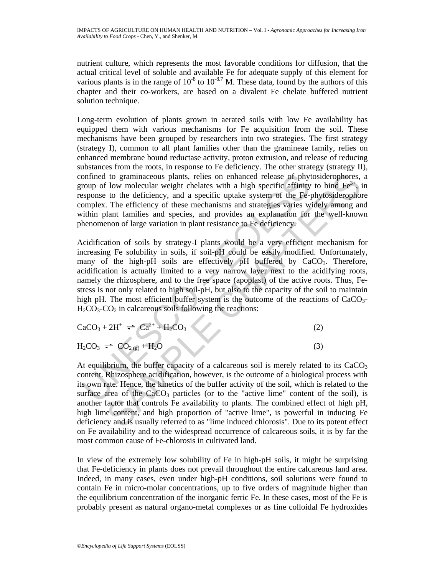nutrient culture, which represents the most favorable conditions for diffusion, that the actual critical level of soluble and available Fe for adequate supply of this element for various plants is in the range of  $10^{-8}$  to  $10^{-8.7}$  M. These data, found by the authors of this chapter and their co-workers, are based on a divalent Fe chelate buffered nutrient solution technique.

Long-term evolution of plants grown in aerated soils with low Fe availability has equipped them with various mechanisms for Fe acquisition from the soil. These mechanisms have been grouped by researchers into two strategies. The first strategy (strategy I), common to all plant families other than the gramineae family, relies on enhanced membrane bound reductase activity, proton extrusion, and release of reducing substances from the roots, in response to Fe deficiency. The other strategy (strategy II), confined to graminaceous plants, relies on enhanced release of phytosiderophores, a group of low molecular weight chelates with a high specific affinity to bind  $Fe^{3+}$ , in response to the deficiency, and a specific uptake system of the Fe-phytosiderophore complex. The efficiency of these mechanisms and strategies varies widely among and within plant families and species, and provides an explanation for the well-known phenomenon of large variation in plant resistance to Fe deficiency.

onfined to graminaceous plants, relies on enhanced release of phy<br>comp of low molecular weight chelates with a high specific affinity<br>spycons to the deficiency, and a specific uptake system of the Fe-<br>spyconse to the defi to graminaceous plants, relies on enhanced release of phytosiderophores,<br>
Now molecular weight chelates with a high specific affinity to bind Fe<sup>2</sup>,<br>
to the deficiency, and a specific uptake system of the Fe-phytosideroph Acidification of soils by strategy-I plants would be a very efficient mechanism for increasing Fe solubility in soils, if soil-pH could be easily modified. Unfortunately, many of the high-pH soils are effectively pH buffered by CaCO<sub>3</sub>. Therefore, acidification is actually limited to a very narrow layer next to the acidifying roots, namely the rhizosphere, and to the free space (apoplast) of the active roots. Thus, Festress is not only related to high soil-pH, but also to the capacity of the soil to maintain high pH. The most efficient buffer system is the outcome of the reactions of  $CaCO<sub>3</sub>$ - $H_2CO_3$ - $CO_2$  in calcareous soils following the reactions:

$$
CaCO3 + 2H+ \rightleftharpoons Ca2+ + H2CO3
$$
 (2)

 $H_2CO_3 \rightleftharpoons CO_{2(g)} + H_2O$  (3)

At equilibrium, the buffer capacity of a calcareous soil is merely related to its  $CaCO<sub>3</sub>$ content. Rhizosphere acidification, however, is the outcome of a biological process with its own rate. Hence, the kinetics of the buffer activity of the soil, which is related to the surface area of the  $CaCO<sub>3</sub>$  particles (or to the "active lime" content of the soil), is another factor that controls Fe availability to plants. The combined effect of high pH, high lime content, and high proportion of "active lime", is powerful in inducing Fe deficiency and is usually referred to as "lime induced chlorosis". Due to its potent effect on Fe availability and to the widespread occurrence of calcareous soils, it is by far the most common cause of Fe-chlorosis in cultivated land.

In view of the extremely low solubility of Fe in high-pH soils, it might be surprising that Fe-deficiency in plants does not prevail throughout the entire calcareous land area. Indeed, in many cases, even under high-pH conditions, soil solutions were found to contain Fe in micro-molar concentrations, up to five orders of magnitude higher than the equilibrium concentration of the inorganic ferric Fe. In these cases, most of the Fe is probably present as natural organo-metal complexes or as fine colloidal Fe hydroxides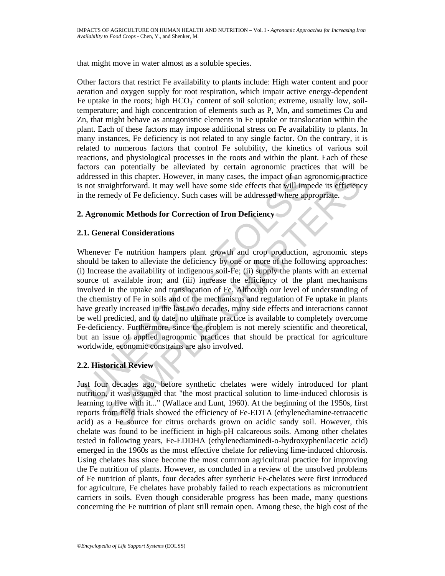that might move in water almost as a soluble species.

Other factors that restrict Fe availability to plants include: High water content and poor aeration and oxygen supply for root respiration, which impair active energy-dependent Fe uptake in the roots; high  $HCO<sub>3</sub>$  content of soil solution; extreme, usually low, soiltemperature; and high concentration of elements such as P, Mn, and sometimes Cu and Zn, that might behave as antagonistic elements in Fe uptake or translocation within the plant. Each of these factors may impose additional stress on Fe availability to plants. In many instances, Fe deficiency is not related to any single factor. On the contrary, it is related to numerous factors that control Fe solubility, the kinetics of various soil reactions, and physiological processes in the roots and within the plant. Each of these factors can potentially be alleviated by certain agronomic practices that will be addressed in this chapter. However, in many cases, the impact of an agronomic practice is not straightforward. It may well have some side effects that will impede its efficiency in the remedy of Fe deficiency. Such cases will be addressed where appropriate.

# **2. Agronomic Methods for Correction of Iron Deficiency**

#### **2.1. General Considerations**

ddressed in this chapter. However, in many cases, the impact of an ag<br>not straightforward. It may well have some side effects that will imp<br>the remedy of Fe deficiency. Such cases will be addressed where app<br>**Agronomic Met** d in this chapter. However, in many cases, the impact of an agronomic practical<br>gightforward. It may well have some side effects that will impede its efficienc<br>medy of Fe deficiency. Such cases will be addressed where appr Whenever Fe nutrition hampers plant growth and crop production, agronomic steps should be taken to alleviate the deficiency by one or more of the following approaches: (i) Increase the availability of indigenous soil-Fe; (ii) supply the plants with an external source of available iron; and (iii) increase the efficiency of the plant mechanisms involved in the uptake and translocation of Fe. Although our level of understanding of the chemistry of Fe in soils and of the mechanisms and regulation of Fe uptake in plants have greatly increased in the last two decades, many side effects and interactions cannot be well predicted, and to date, no ultimate practice is available to completely overcome Fe-deficiency. Furthermore, since the problem is not merely scientific and theoretical, but an issue of applied agronomic practices that should be practical for agriculture worldwide, economic constrains are also involved.

# **2.2. Historical Review**

Just four decades ago, before synthetic chelates were widely introduced for plant nutrition, it was assumed that "the most practical solution to lime-induced chlorosis is learning to live with it..." (Wallace and Lunt, 1960). At the beginning of the 1950s, first reports from field trials showed the efficiency of Fe-EDTA (ethylenediamine-tetraacetic acid) as a Fe source for citrus orchards grown on acidic sandy soil. However, this chelate was found to be inefficient in high-pH calcareous soils. Among other chelates tested in following years, Fe-EDDHA (ethylenediaminedi-o-hydroxyphenilacetic acid) emerged in the 1960s as the most effective chelate for relieving lime-induced chlorosis. Using chelates has since become the most common agricultural practice for improving the Fe nutrition of plants. However, as concluded in a review of the unsolved problems of Fe nutrition of plants, four decades after synthetic Fe-chelates were first introduced for agriculture, Fe chelates have probably failed to reach expectations as micronutrient carriers in soils. Even though considerable progress has been made, many questions concerning the Fe nutrition of plant still remain open. Among these, the high cost of the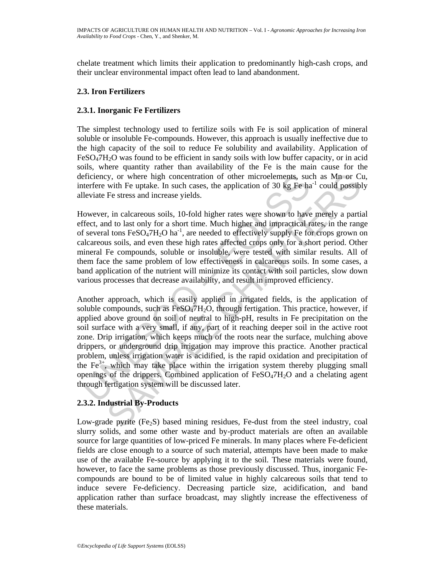chelate treatment which limits their application to predominantly high-cash crops, and their unclear environmental impact often lead to land abandonment.

# **2.3. Iron Fertilizers**

### **2.3.1. Inorganic Fe Fertilizers**

The simplest technology used to fertilize soils with Fe is soil application of mineral soluble or insoluble Fe-compounds. However, this approach is usually ineffective due to the high capacity of the soil to reduce Fe solubility and availability. Application of  $FeSO<sub>4</sub>7H<sub>2</sub>O$  was found to be efficient in sandy soils with low buffer capacity, or in acid soils, where quantity rather than availability of the Fe is the main cause for the deficiency, or where high concentration of other microelements, such as Mn or Cu, interfere with Fe uptake. In such cases, the application of 30 kg Fe ha<sup>-1</sup> could possibly alleviate Fe stress and increase yields.

However, in calcareous soils, 10-fold higher rates were shown to have merely a partial effect, and to last only for a short time. Much higher and impractical rates, in the range of several tons  $FeSO<sub>4</sub>7H<sub>2</sub>O$  ha<sup>-1</sup>, are needed to effectively supply Fe for crops grown on calcareous soils, and even these high rates affected crops only for a short period. Other mineral Fe compounds, soluble or insoluble, were tested with similar results. All of them face the same problem of low effectiveness in calcareous soils. In some cases, a band application of the nutrient will minimize its contact with soil particles, slow down various processes that decrease availability, and result in improved efficiency.

eficiency, or where high concentration of other microelements, sucturefere with Fe uptake. In such cases, the application of 30 kg Fe halleviate Fe stress and increase yields.<br>
lowever, in calcareous soils, 10-fold higher y, or where high concentration of other microelements, such as Mn or Cu with Fe uptake. In such cases, the application of 30 kg Fe ha<sup>-1</sup> could possible Te stress and increase yields.<br>
Fe stress and increase yields.<br>
Fe s Another approach, which is easily applied in irrigated fields, is the application of soluble compounds, such as  $FeSO<sub>4</sub>7H<sub>2</sub>O$ , through fertigation. This practice, however, if applied above ground on soil of neutral to high-pH, results in Fe precipitation on the soil surface with a very small, if any, part of it reaching deeper soil in the active root zone. Drip irrigation, which keeps much of the roots near the surface, mulching above drippers, or underground drip irrigation may improve this practice. Another practical problem, unless irrigation water is acidified, is the rapid oxidation and precipitation of the Fe<sup>3+</sup>, which may take place within the irrigation system thereby plugging small openings of the drippers. Combined application of FeSO4ּ7H2O and a chelating agent through fertigation system will be discussed later.

# **2.3.2. Industrial By-Products**

Low-grade pyrite  $(Fe_2S)$  based mining residues, Fe-dust from the steel industry, coal slurry solids, and some other waste and by-product materials are often an available source for large quantities of low-priced Fe minerals. In many places where Fe-deficient fields are close enough to a source of such material, attempts have been made to make use of the available Fe-source by applying it to the soil. These materials were found, however, to face the same problems as those previously discussed. Thus, inorganic Fecompounds are bound to be of limited value in highly calcareous soils that tend to induce severe Fe-deficiency. Decreasing particle size, acidification, and band application rather than surface broadcast, may slightly increase the effectiveness of these materials.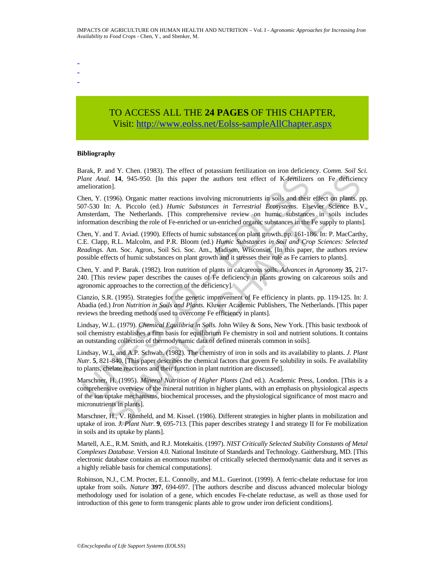TO ACCESS ALL THE **24 PAGES** OF THIS CHAPTER, Visit[: http://www.eolss.net/Eolss-sampleAllChapter.aspx](https://www.eolss.net/ebooklib/sc_cart.aspx?File=E5-21-03-01)

#### **Bibliography**

- - -

Barak, P. and Y. Chen. (1983). The effect of potassium fertilization on iron deficiency. *Comm. Soil Sci. Plant Anal*. **14**, 945-950. [In this paper the authors test effect of K-fertilizers on Fe deficiency amelioration].

Lant Anal. 14, 945-950. [In this paper the authors test effect of K-Ferdinzen<br>Lant Anal. 14, 945-950. [In this paper the authors test effect of K-Ferdinzen<br>relioration].<br>Mart Anal. 14, 945-950. [In this paper the authors t and 1: Chart, (1967). The Untertion in Salis apert the authors is still and their effection. The deficiency commission of the deficiency on Fe deficiency and their effect of N-fertilizers on Fe deficiency. This paper the a Chen, Y. (1996). Organic matter reactions involving micronutrients in soils and their effect on plants. pp. 507-530 In: A. Piccolo (ed.) *Humic Substances in Terrestrial Ecosystems*. Elsevier Science B.V., Amsterdam, The Netherlands. [This comprehensive review on humic substances in soils includes information describing the role of Fe-enriched or un-enriched organic substances in the Fe supply to plants].

Chen, Y. and T. Aviad. (1990). Effects of humic substances on plant growth. pp. 161-186. In: P. MacCarthy, C.E. Clapp, R.L. Malcolm, and P.R. Bloom (ed.) *Humic Substances in Soil and Crop Sciences: Selected Readings*. Am. Soc. Agron., Soil Sci. Soc. Am., Madison, Wisconsin. [In this paper, the authors review possible effects of humic substances on plant growth and it stresses their role as Fe carriers to plants].

Chen, Y. and P. Barak. (1982). Iron nutrition of plants in calcareous soils. *Advances in Agronomy* **35**, 217- 240. [This review paper describes the causes of Fe deficiency in plants growing on calcareous soils and agronomic approaches to the correction of the deficiency].

Cianzio, S.R. (1995). Strategies for the genetic improvement of Fe efficiency in plants. pp. 119-125. In: J. Abadia (ed.) *Iron Nutrition in Soils and Plants.* Kluwer Academic Publishers, The Netherlands. [This paper reviews the breeding methods used to overcome Fe efficiency in plants].

Lindsay, W.L. (1979). *Chemical Equilibria in Soils.* John Wiley & Sons, New York. [This basic textbook of soil chemistry establishes a firm basis for equilibrium Fe chemistry in soil and nutrient solutions. It contains an outstanding collection of thermodynamic data of defined minerals common in soils].

Lindsay, W.L and A.P. Schwab. (1982). The chemistry of iron in soils and its availability to plants. *J. Plant Nutr*. **5**, 821-840. [This paper describes the chemical factors that govern Fe solubility in soils. Fe availability to plants, chelate reactions and their function in plant nutrition are discussed].

Marschner, H. (1995). *Mineral Nutrition of Higher Plants* (2nd ed.). Academic Press, London. [This is a comprehensive overview of the mineral nutrition in higher plants, with an emphasis on physiological aspects of the ion uptake mechanisms, biochemical processes, and the physiological significance of most macro and micronutrients in plants].

Marschner, H., V. Römheld, and M. Kissel. (1986). Different strategies in higher plants in mobilization and uptake of iron. *J. Plant Nutr*. **9**, 695-713. [This paper describes strategy I and strategy II for Fe mobilization in soils and its uptake by plants].

Martell, A.E., R.M. Smith, and R.J. Motekaitis. (1997). *NIST Critically Selected Stability Constants of Metal Complexes Database.* Version 4.0. National Institute of Standards and Technology. Gaithersburg, MD. [This electronic database contains an enormous number of critically selected thermodynamic data and it serves as a highly reliable basis for chemical computations].

Robinson, N.J., C.M. Procter, E.L. Connolly, and M.L. Guerinot. (1999). A ferric-chelate reductase for iron uptake from soils. *Nature* **397**, 694-697. [The authors describe and discuss advanced molecular biology methodology used for isolation of a gene, which encodes Fe-chelate reductase, as well as those used for introduction of this gene to form transgenic plants able to grow under iron deficient conditions].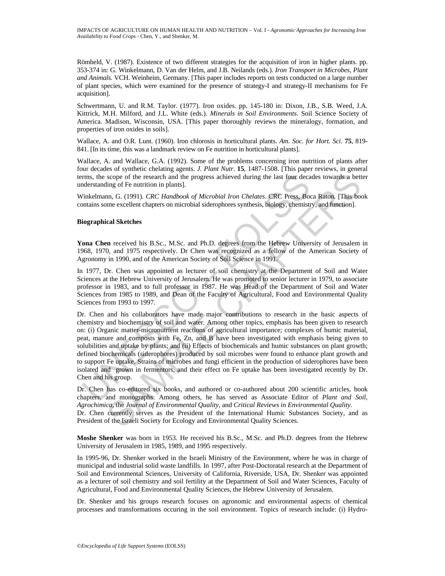IMPACTS OF AGRICULTURE ON HUMAN HEALTH AND NUTRITION – Vol. I - *Agronomic Approaches for Increasing Iron Availability to Food Crops* - Chen, Y., and Shenker, M.

Römheld, V. (1987). Existence of two different strategies for the acquisition of iron in higher plants. pp. 353-374 in: G. Winkelmann, D. Van der Helm, and J.B. Neilands (eds.). *Iron Transport in Microbes, Plant and Animals*. VCH. Weinheim, Germany. [This paper includes reports on tests conducted on a large number of plant species, which were examined for the presence of strategy-I and strategy-II mechanisms for Fe acquisition].

Schwertmann, U. and R.M. Taylor. (1977). Iron oxides. pp. 145-180 in: Dixon, J.B., S.B. Weed, J.A. Kittrick, M.H. Milford, and J.L. White (eds.). *Minerals in Soil Environments*. Soil Science Society of America. Madison, Wisconsin, USA. [This paper thoroughly reviews the mineralogy, formation, and properties of iron oxides in soils].

Wallace, A. and O.R. Lunt. (1960). Iron chlorosis in horticultural plants. *Am. Soc. for Hort. Sci*. **75**, 819- 841. [In its time, this was a landmark review on Fe nutrition in horticultural plants].

Wallace, A. and Wallace, G.A. (1992). Some of the problems concerning iron nutrition of plants after four decades of synthetic chelating agents. *J. Plant Nutr*. **15**, 1487-1508. [This paper reviews, in general terms, the scope of the research and the progress achieved during the last four decades towards a better understanding of Fe nutrition in plants].

Winkelmann, G. (1991). *CRC Handbook of Microbial Iron Chelates*. CRC Press, Boca Raton. [This book contains some excellent chapters on microbial siderophores synthesis, biology, chemistry, and function].

#### **Biographical Sketches**

**Yona Chen** received his B.Sc., M.Sc. and Ph.D. degrees from the Hebrew University of Jerusalem in 1968, 1970, and 1975 respectively. Dr Chen was recognized as a fellow of the American Society of Agronomy in 1990, and of the American Society of Soil Science in 1991.

In 1977, Dr. Chen was appointed as lecturer of soil chemistry at the Department of Soil and Water Sciences at the Hebrew University of Jerusalem. He was promoted to senior lecturer in 1979, to associate professor in 1983, and to full professor in 1987. He was Head of the Department of Soil and Water Sciences from 1985 to 1989, and Dean of the Faculty of Agricultural, Food and Environmental Quality Sciences from 1993 to 1997.

rms, the scope of the research and the progress achieved during the last four decaderstanding of Fe nutrition in plants].<br>
Unkelmann, G. (1991). *CRC Handbook of Microbial Iron Chelates*, **CRC Press, Boothians** some excell scope of the research and the progress achieved during the last four decades towards a betting of Fe nutrition in plans).<br>Img of Fe nutrition in plans) and the progress synthesis, biology, chemistry, and function].<br>Im, G. Dr. Chen and his collaborators have made major contributions to research in the basic aspects of chemistry and biochemistry of soil and water. Among other topics, emphasis has been given to research on: (i) Organic matter-micronutrient reactions of agricultural importance; complexes of humic material, peat, manure and composts with Fe, Zn, and B have been investigated with emphasis being given to solubilities and uptake by plants; and (ii) Effects of biochemicals and humic substances on plant growth; defined biochemicals (siderophores) produced by soil microbes were found to enhance plant growth and to support Fe uptake. Strains of microbes and fungi efficient in the production of siderophores have been isolated and grown in fermentors, and their effect on Fe uptake has been investigated recently by Dr. Chen and his group.

Dr. Chen has co-editored six books, and authored or co-authored about 200 scientific articles, book chapters, and monographs. Among others, he has served as Associate Editor of *Plant and Soil*, *Agrochimica*, the *Journal of Environmental Quality*, and *Critical Reviews in Environmental Quality.* 

Dr. Chen currently serves as the President of the International Humic Substances Society, and as President of the Israeli Society for Ecology and Environmental Quality Sciences.

**Moshe Shenker** was born in 1953. He received his B.Sc., M.Sc. and Ph.D. degrees from the Hebrew University of Jerusalem in 1985, 1989, and 1995 respectively.

In 1995-96, Dr. Shenker worked in the Israeli Ministry of the Environment, where he was in charge of municipal and industrial solid waste landfills. In 1997, after Post-Doctoratal research at the Department of Soil and Environmental Sciences, University of California, Riverside, USA, Dr. Shenker was appointed as a lecturer of soil chemistry and soil fertility at the Department of Soil and Water Sciences, Faculty of Agricultural, Food and Environmental Quality Sciences, the Hebrew University of Jerusalem.

Dr. Shenker and his groups research focuses on agronomic and environmental aspects of chemical processes and transformations occuring in the soil environment. Topics of research include: (i) Hydro-